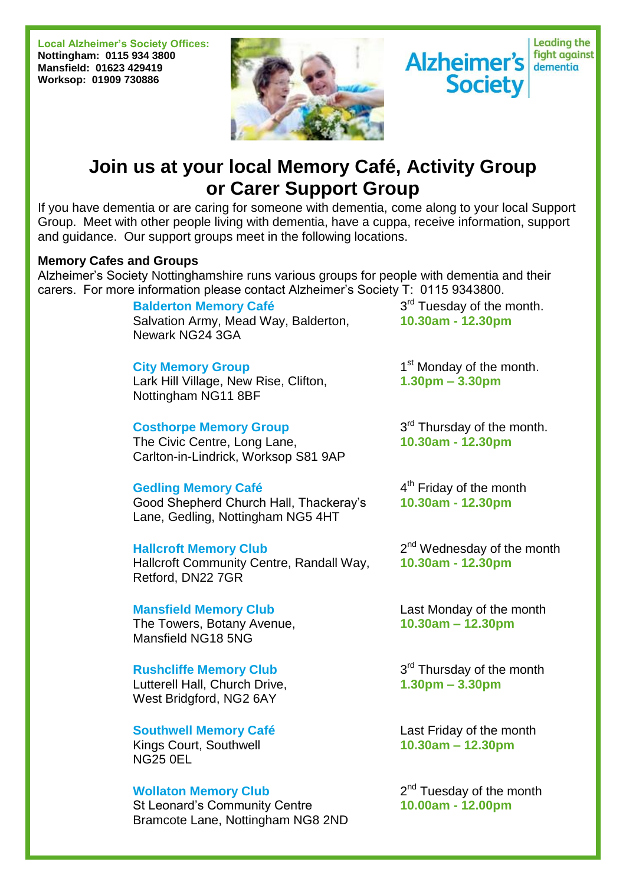**Local Alzheimer's Society Offices: Nottingham: 0115 934 3800 Mansfield: 01623 429419 Worksop: 01909 730886**





# **Join us at your local Memory Café, Activity Group or Carer Support Group**

If you have dementia or are caring for someone with dementia, come along to your local Support Group. Meet with other people living with dementia, have a cuppa, receive information, support and guidance. Our support groups meet in the following locations.

## **Memory Cafes and Groups**

Alzheimer's Society Nottinghamshire runs various groups for people with dementia and their carers. For more information please contact Alzheimer's Society T: 0115 9343800.

**Balderton Memory Café**

Salvation Army, Mead Way, Balderton, Newark NG24 3GA

## **City Memory Group**

Lark Hill Village, New Rise, Clifton, Nottingham NG11 8BF

## **Costhorpe Memory Group**

The Civic Centre, Long Lane, Carlton-in-Lindrick, Worksop S81 9AP

## **Gedling Memory Café**

Good Shepherd Church Hall, Thackeray's Lane, Gedling, Nottingham NG5 4HT

#### **Hallcroft Memory Club**

Hallcroft Community Centre, Randall Way, Retford, DN22 7GR

## **Mansfield Memory Club**

The Towers, Botany Avenue, Mansfield NG18 5NG

## **Rushcliffe Memory Club**

Lutterell Hall, Church Drive, West Bridgford, NG2 6AY

**Southwell Memory Café** Kings Court, Southwell NG25 0EL

#### **Wollaton Memory Club**

St Leonard's Community Centre Bramcote Lane, Nottingham NG8 2ND

3<sup>rd</sup> Tuesday of the month. **10.30am - 12.30pm**

1<sup>st</sup> Monday of the month. **1.30pm – 3.30pm**

3<sup>rd</sup> Thursday of the month. **10.30am - 12.30pm**

4<sup>th</sup> Friday of the month **10.30am - 12.30pm**

2<sup>nd</sup> Wednesday of the month **10.30am - 12.30pm**

Last Monday of the month **10.30am – 12.30pm**

3<sup>rd</sup> Thursday of the month **1.30pm – 3.30pm**

Last Friday of the month **10.30am – 12.30pm**

2<sup>nd</sup> Tuesday of the month **10.00am - 12.00pm**